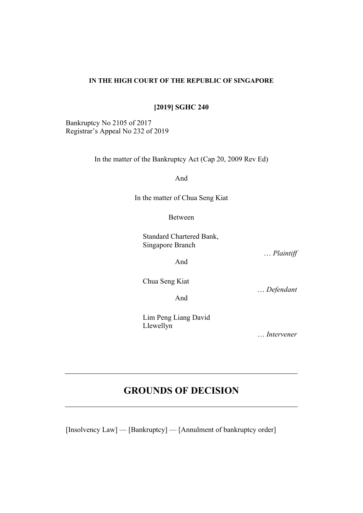#### **IN THE HIGH COURT OF THE REPUBLIC OF SINGAPORE**

**[2019] SGHC 240**

Bankruptcy No 2105 of 2017 Registrar's Appeal No 232 of 2019

In the matter of the Bankruptcy Act (Cap 20, 2009 Rev Ed)

And

In the matter of Chua Seng Kiat

Between

Standard Chartered Bank, Singapore Branch

And

… *Plaintiff* 

Chua Seng Kiat

And

… *Defendant* 

Lim Peng Liang David Llewellyn

… *Intervener*

# **GROUNDS OF DECISION**

[Insolvency Law] — [Bankruptcy] — [Annulment of bankruptcy order]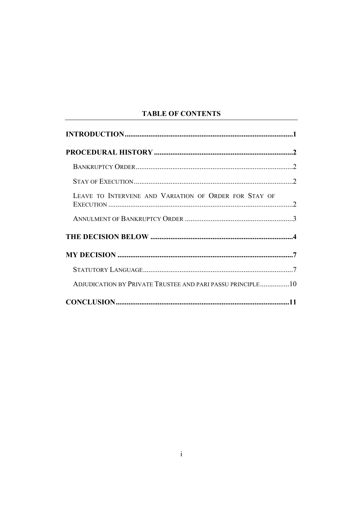# **TABLE OF CONTENTS**

| LEAVE TO INTERVENE AND VARIATION OF ORDER FOR STAY OF      |  |
|------------------------------------------------------------|--|
|                                                            |  |
|                                                            |  |
|                                                            |  |
|                                                            |  |
| ADJUDICATION BY PRIVATE TRUSTEE AND PARI PASSU PRINCIPLE10 |  |
|                                                            |  |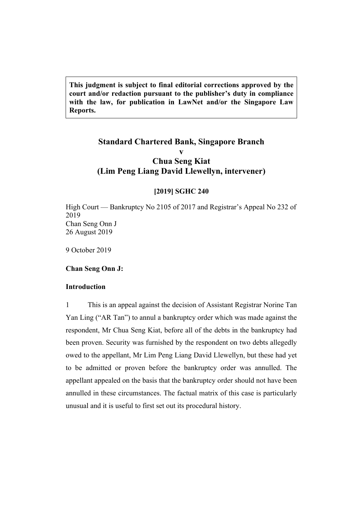**This judgment is subject to final editorial corrections approved by the court and/or redaction pursuant to the publisher's duty in compliance with the law, for publication in LawNet and/or the Singapore Law Reports.**

# **Standard Chartered Bank, Singapore Branch v Chua Seng Kiat (Lim Peng Liang David Llewellyn, intervener)**

#### **[2019] SGHC 240**

High Court — Bankruptcy No 2105 of 2017 and Registrar's Appeal No 232 of 2019 Chan Seng Onn J 26 August 2019

9 October 2019

#### <span id="page-2-0"></span>**Chan Seng Onn J:**

#### **Introduction**

1 This is an appeal against the decision of Assistant Registrar Norine Tan Yan Ling ("AR Tan") to annul a bankruptcy order which was made against the respondent, Mr Chua Seng Kiat, before all of the debts in the bankruptcy had been proven. Security was furnished by the respondent on two debts allegedly owed to the appellant, Mr Lim Peng Liang David Llewellyn, but these had yet to be admitted or proven before the bankruptcy order was annulled. The appellant appealed on the basis that the bankruptcy order should not have been annulled in these circumstances. The factual matrix of this case is particularly unusual and it is useful to first set out its procedural history.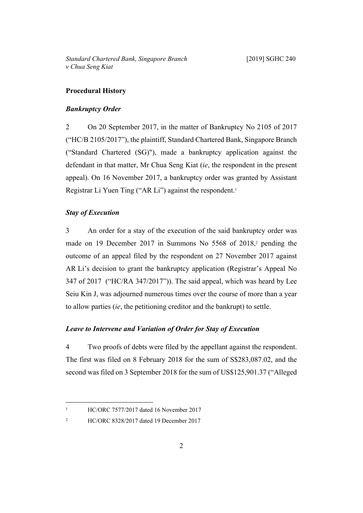# <span id="page-3-1"></span><span id="page-3-0"></span>**Procedural History**

#### *Bankruptcy Order*

2 On 20 September 2017, in the matter of Bankruptcy No 2105 of 2017 ("HC/B 2105/2017"), the plaintiff, Standard Chartered Bank, Singapore Branch ("Standard Chartered (SG)"), made a bankruptcy application against the defendant in that matter, Mr Chua Seng Kiat (*ie*, the respondent in the present appeal). On 16 November 2017, a bankruptcy order was granted by Assistant Registrar Li Yuen Ting ("AR Li") against the respondent.<sup>1</sup>

## <span id="page-3-2"></span>*Stay of Execution*

3 An order for a stay of the execution of the said bankruptcy order was made on 19 December 2017 in Summons No 5568 of 2018,<sup>2</sup> pending the outcome of an appeal filed by the respondent on 27 November 2017 against AR Li's decision to grant the bankruptcy application (Registrar's Appeal No 347 of 2017 ("HC/RA 347/2017")). The said appeal, which was heard by Lee Seiu Kin J, was adjourned numerous times over the course of more than a year to allow parties (*ie*, the petitioning creditor and the bankrupt) to settle.

### <span id="page-3-3"></span>*Leave to Intervene and Variation of Order for Stay of Execution*

4 Two proofs of debts were filed by the appellant against the respondent. The first was filed on 8 February 2018 for the sum of S\$283,087.02, and the second was filed on 3 September 2018 for the sum of US\$125,901.37 ("Alleged

2

<sup>1</sup>

HC/ORC 7577/2017 dated 16 November 2017

HC/ORC 8328/2017 dated 19 December 2017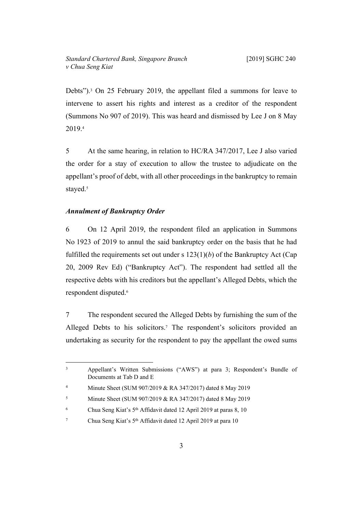Debts").<sup>3</sup> On 25 February 2019, the appellant filed a summons for leave to intervene to assert his rights and interest as a creditor of the respondent (Summons No 907 of 2019). This was heard and dismissed by Lee J on 8 May 2019.<sup>4</sup>

5 At the same hearing, in relation to HC/RA 347/2017, Lee J also varied the order for a stay of execution to allow the trustee to adjudicate on the appellant's proof of debt, with all other proceedings in the bankruptcy to remain stayed.<sup>5</sup>

## <span id="page-4-0"></span>*Annulment of Bankruptcy Order*

6 On 12 April 2019, the respondent filed an application in Summons No 1923 of 2019 to annul the said bankruptcy order on the basis that he had fulfilled the requirements set out under s  $123(1)(b)$  of the Bankruptcy Act (Cap 20, 2009 Rev Ed) ("Bankruptcy Act"). The respondent had settled all the respective debts with his creditors but the appellant's Alleged Debts, which the respondent disputed.<sup>6</sup>

7 The respondent secured the Alleged Debts by furnishing the sum of the Alleged Debts to his solicitors.<sup>7</sup> The respondent's solicitors provided an undertaking as security for the respondent to pay the appellant the owed sums

<sup>3</sup> Appellant's Written Submissions ("AWS") at para 3; Respondent's Bundle of Documents at Tab D and E

<sup>4</sup> Minute Sheet (SUM 907/2019 & RA 347/2017) dated 8 May 2019

<sup>5</sup> Minute Sheet (SUM 907/2019 & RA 347/2017) dated 8 May 2019

<sup>6</sup> Chua Seng Kiat's 5th Affidavit dated 12 April 2019 at paras 8, 10

<sup>7</sup> Chua Seng Kiat's 5th Affidavit dated 12 April 2019 at para 10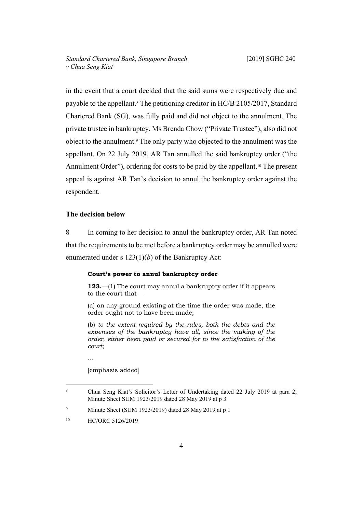in the event that a court decided that the said sums were respectively due and payable to the appellant.<sup>8</sup> The petitioning creditor in HC/B 2105/2017, Standard Chartered Bank (SG), was fully paid and did not object to the annulment. The private trustee in bankruptcy, Ms Brenda Chow ("Private Trustee"), also did not object to the annulment.<sup>9</sup> The only party who objected to the annulment was the appellant. On 22 July 2019, AR Tan annulled the said bankruptcy order ("the Annulment Order"), ordering for costs to be paid by the appellant.<sup>10</sup> The present appeal is against AR Tan's decision to annul the bankruptcy order against the respondent.

#### <span id="page-5-0"></span>**The decision below**

8 In coming to her decision to annul the bankruptcy order, AR Tan noted that the requirements to be met before a bankruptcy order may be annulled were enumerated under s 123(1)(*b*) of the Bankruptcy Act:

#### **Court's power to annul bankruptcy order**

**123.**—(1) The court may annul a bankruptcy order if it appears to the court that —

(a) on any ground existing at the time the order was made, the order ought not to have been made;

(b) *to the extent required by the rules, both the debts and the expenses of the bankruptcy have all, since the making of the order, either been paid or secured for to the satisfaction of the court*;

… [emphasis added]

<sup>8</sup> Chua Seng Kiat's Solicitor's Letter of Undertaking dated 22 July 2019 at para 2; Minute Sheet SUM 1923/2019 dated 28 May 2019 at p 3

<sup>9</sup> Minute Sheet (SUM 1923/2019) dated 28 May 2019 at p 1

<sup>&</sup>lt;sup>10</sup> HC/ORC 5126/2019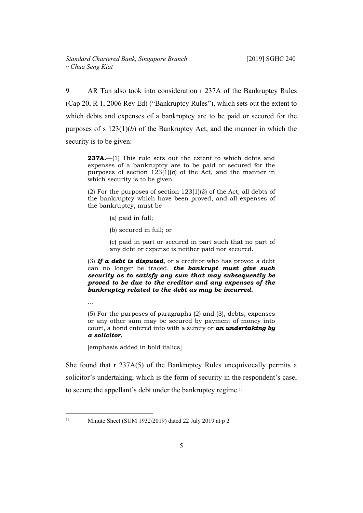9 AR Tan also took into consideration r 237A of the Bankruptcy Rules (Cap 20, R 1, 2006 Rev Ed) ("Bankruptcy Rules"), which sets out the extent to which debts and expenses of a bankruptcy are to be paid or secured for the purposes of s 123(1)(*b*) of the Bankruptcy Act, and the manner in which the security is to be given:

**237A.**—(1) This rule sets out the extent to which debts and expenses of a bankruptcy are to be paid or secured for the purposes of section 123(1)(*b*) of the Act, and the manner in which security is to be given.

(2) For the purposes of section 123(1)(*b*) of the Act, all debts of the bankruptcy which have been proved, and all expenses of the bankruptcy, must be —

- (a) paid in full;
- (b) secured in full; or

(c) paid in part or secured in part such that no part of any debt or expense is neither paid nor secured.

(3) *If a debt is disputed*, or a creditor who has proved a debt can no longer be traced, *the bankrupt must give such security as to satisfy any sum that may subsequently be proved to be due to the creditor and any expenses of the bankruptcy related to the debt as may be incurred.*

…

(5) For the purposes of paragraphs (2) and (3), debts, expenses or any other sum may be secured by payment of money into court, a bond entered into with a surety or *an undertaking by a solicitor.*

[emphasis added in bold italics]

She found that r 237A(5) of the Bankruptcy Rules unequivocally permits a solicitor's undertaking, which is the form of security in the respondent's case, to secure the appellant's debt under the bankruptcy regime.<sup>11</sup>

<sup>11</sup> Minute Sheet (SUM 1932/2019) dated 22 July 2019 at p 2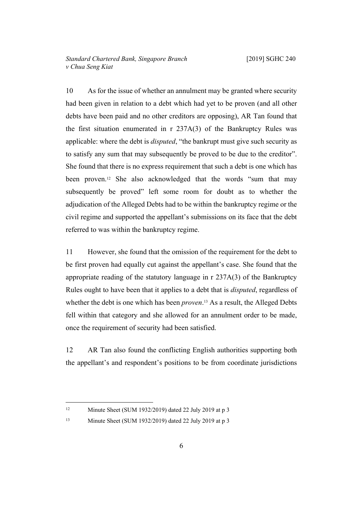10 As for the issue of whether an annulment may be granted where security had been given in relation to a debt which had yet to be proven (and all other debts have been paid and no other creditors are opposing), AR Tan found that the first situation enumerated in r 237A(3) of the Bankruptcy Rules was applicable: where the debt is *disputed*, "the bankrupt must give such security as to satisfy any sum that may subsequently be proved to be due to the creditor". She found that there is no express requirement that such a debt is one which has been proven.12 She also acknowledged that the words "sum that may subsequently be proved" left some room for doubt as to whether the adjudication of the Alleged Debts had to be within the bankruptcy regime or the civil regime and supported the appellant's submissions on its face that the debt referred to was within the bankruptcy regime.

11 However, she found that the omission of the requirement for the debt to be first proven had equally cut against the appellant's case. She found that the appropriate reading of the statutory language in r 237A(3) of the Bankruptcy Rules ought to have been that it applies to a debt that is *disputed*, regardless of whether the debt is one which has been *proven*. <sup>13</sup> As a result, the Alleged Debts fell within that category and she allowed for an annulment order to be made, once the requirement of security had been satisfied.

12 AR Tan also found the conflicting English authorities supporting both the appellant's and respondent's positions to be from coordinate jurisdictions

<sup>12</sup> Minute Sheet (SUM 1932/2019) dated 22 July 2019 at p 3

<sup>13</sup> Minute Sheet (SUM 1932/2019) dated 22 July 2019 at p 3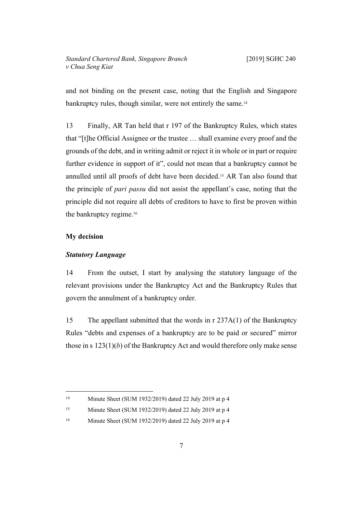and not binding on the present case, noting that the English and Singapore bankruptcy rules, though similar, were not entirely the same.<sup>14</sup>

13 Finally, AR Tan held that r 197 of the Bankruptcy Rules, which states that "[t]he Official Assignee or the trustee … shall examine every proof and the grounds of the debt, and in writing admit or reject it in whole or in part or require further evidence in support of it", could not mean that a bankruptcy cannot be annulled until all proofs of debt have been decided.15 AR Tan also found that the principle of *pari passu* did not assist the appellant's case, noting that the principle did not require all debts of creditors to have to first be proven within the bankruptcy regime.<sup>16</sup>

# <span id="page-8-1"></span><span id="page-8-0"></span>**My decision**

#### *Statutory Language*

14 From the outset, I start by analysing the statutory language of the relevant provisions under the Bankruptcy Act and the Bankruptcy Rules that govern the annulment of a bankruptcy order.

15 The appellant submitted that the words in r 237A(1) of the Bankruptcy Rules "debts and expenses of a bankruptcy are to be paid or secured" mirror those in s 123(1)(*b*) of the Bankruptcy Act and would therefore only make sense

<sup>14</sup> Minute Sheet (SUM 1932/2019) dated 22 July 2019 at p 4

<sup>15</sup> Minute Sheet (SUM 1932/2019) dated 22 July 2019 at p 4

<sup>16</sup> Minute Sheet (SUM 1932/2019) dated 22 July 2019 at p 4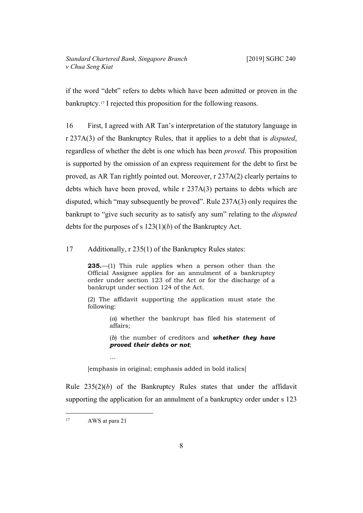if the word "debt" refers to debts which have been admitted or proven in the bankruptcy.17 I rejected this proposition for the following reasons.

16 First, I agreed with AR Tan's interpretation of the statutory language in r 237A(3) of the Bankruptcy Rules, that it applies to a debt that is *disputed*, regardless of whether the debt is one which has been *proved*. This proposition is supported by the omission of an express requirement for the debt to first be proved, as AR Tan rightly pointed out. Moreover, r 237A(2) clearly pertains to debts which have been proved, while r 237A(3) pertains to debts which are disputed, which "may subsequently be proved". Rule 237A(3) only requires the bankrupt to "give such security as to satisfy any sum" relating to the *disputed* debts for the purposes of s 123(1)(*b*) of the Bankruptcy Act.

17 Additionally, r 235(1) of the Bankruptcy Rules states:

**235.**—(1) This rule applies when a person other than the Official Assignee applies for an annulment of a bankruptcy order under section 123 of the Act or for the discharge of a bankrupt under section 124 of the Act.

(2) The affidavit supporting the application must state the following:

> (*a*) whether the bankrupt has filed his statement of affairs;

> (*b*) the number of creditors and *whether they have proved their debts or not*;

[emphasis in original; emphasis added in bold italics]

Rule 235(2)(*b*) of the Bankruptcy Rules states that under the affidavit supporting the application for an annulment of a bankruptcy order under s 123

…

<sup>17</sup> AWS at para 21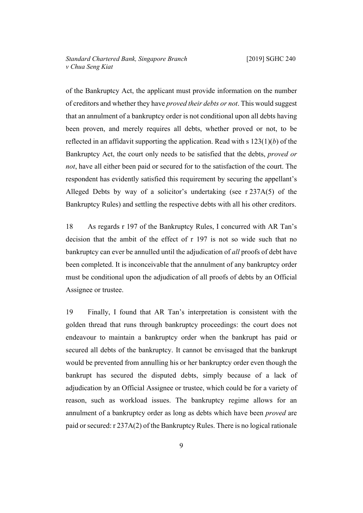of the Bankruptcy Act, the applicant must provide information on the number of creditors and whether they have *proved their debts or not*. This would suggest that an annulment of a bankruptcy order is not conditional upon all debts having been proven, and merely requires all debts, whether proved or not, to be reflected in an affidavit supporting the application. Read with s 123(1)(*b*) of the Bankruptcy Act, the court only needs to be satisfied that the debts, *proved or not*, have all either been paid or secured for to the satisfaction of the court. The respondent has evidently satisfied this requirement by securing the appellant's Alleged Debts by way of a solicitor's undertaking (see r 237A(5) of the Bankruptcy Rules) and settling the respective debts with all his other creditors.

18 As regards r 197 of the Bankruptcy Rules, I concurred with AR Tan's decision that the ambit of the effect of r 197 is not so wide such that no bankruptcy can ever be annulled until the adjudication of *all* proofs of debt have been completed. It is inconceivable that the annulment of any bankruptcy order must be conditional upon the adjudication of all proofs of debts by an Official Assignee or trustee.

19 Finally, I found that AR Tan's interpretation is consistent with the golden thread that runs through bankruptcy proceedings: the court does not endeavour to maintain a bankruptcy order when the bankrupt has paid or secured all debts of the bankruptcy. It cannot be envisaged that the bankrupt would be prevented from annulling his or her bankruptcy order even though the bankrupt has secured the disputed debts, simply because of a lack of adjudication by an Official Assignee or trustee, which could be for a variety of reason, such as workload issues. The bankruptcy regime allows for an annulment of a bankruptcy order as long as debts which have been *proved* are paid or secured: r 237A(2) of the Bankruptcy Rules. There is no logical rationale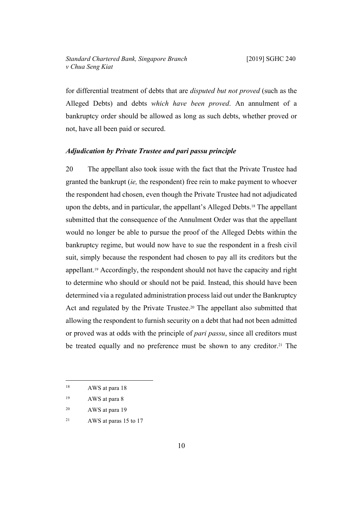# *Standard Chartered Bank, Singapore Branch* [2019] SGHC 240 *v Chua Seng Kiat*

for differential treatment of debts that are *disputed but not proved* (such as the Alleged Debts) and debts *which have been proved*. An annulment of a bankruptcy order should be allowed as long as such debts, whether proved or not, have all been paid or secured.

#### <span id="page-11-0"></span>*Adjudication by Private Trustee and pari passu principle*

20 The appellant also took issue with the fact that the Private Trustee had granted the bankrupt (*ie,* the respondent) free rein to make payment to whoever the respondent had chosen, even though the Private Trustee had not adjudicated upon the debts, and in particular, the appellant's Alleged Debts.18 The appellant submitted that the consequence of the Annulment Order was that the appellant would no longer be able to pursue the proof of the Alleged Debts within the bankruptcy regime, but would now have to sue the respondent in a fresh civil suit, simply because the respondent had chosen to pay all its creditors but the appellant.19 Accordingly, the respondent should not have the capacity and right to determine who should or should not be paid. Instead, this should have been determined via a regulated administration process laid out under the Bankruptcy Act and regulated by the Private Trustee.20 The appellant also submitted that allowing the respondent to furnish security on a debt that had not been admitted or proved was at odds with the principle of *pari passu*, since all creditors must be treated equally and no preference must be shown to any creditor.<sup>21</sup> The

<sup>20</sup> AWS at para 19

<sup>&</sup>lt;sup>18</sup> AWS at para 18

<sup>19</sup> AWS at para 8

<sup>21</sup> AWS at paras 15 to 17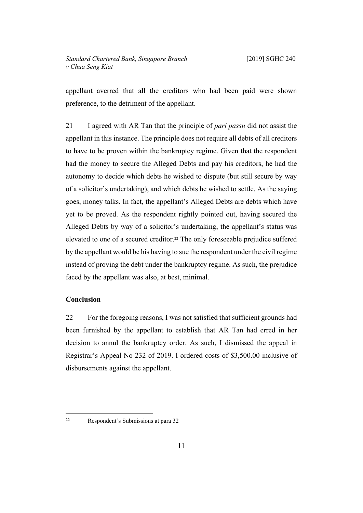appellant averred that all the creditors who had been paid were shown preference, to the detriment of the appellant.

21 I agreed with AR Tan that the principle of *pari passu* did not assist the appellant in this instance. The principle does not require all debts of all creditors to have to be proven within the bankruptcy regime. Given that the respondent had the money to secure the Alleged Debts and pay his creditors, he had the autonomy to decide which debts he wished to dispute (but still secure by way of a solicitor's undertaking), and which debts he wished to settle. As the saying goes, money talks. In fact, the appellant's Alleged Debts are debts which have yet to be proved. As the respondent rightly pointed out, having secured the Alleged Debts by way of a solicitor's undertaking, the appellant's status was elevated to one of a secured creditor.22 The only foreseeable prejudice suffered by the appellant would be his having to sue the respondent under the civil regime instead of proving the debt under the bankruptcy regime. As such, the prejudice faced by the appellant was also, at best, minimal.

### <span id="page-12-0"></span>**Conclusion**

22 For the foregoing reasons, I was not satisfied that sufficient grounds had been furnished by the appellant to establish that AR Tan had erred in her decision to annul the bankruptcy order. As such, I dismissed the appeal in Registrar's Appeal No 232 of 2019. I ordered costs of \$3,500.00 inclusive of disbursements against the appellant.

<sup>22</sup> Respondent's Submissions at para 32